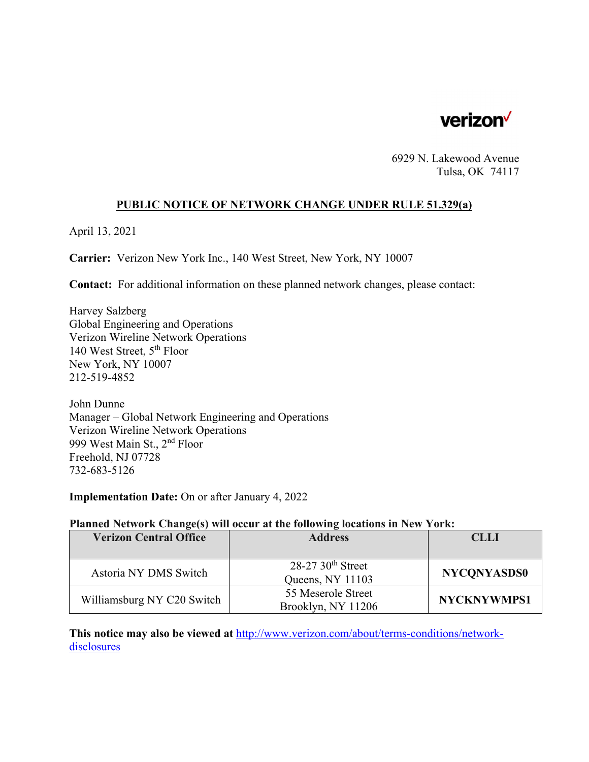

6929 N. Lakewood Avenue Tulsa, OK 74117

#### **PUBLIC NOTICE OF NETWORK CHANGE UNDER RULE 51.329(a)**

April 13, 2021

**Carrier:** Verizon New York Inc., 140 West Street, New York, NY 10007

**Contact:** For additional information on these planned network changes, please contact:

Harvey Salzberg Global Engineering and Operations Verizon Wireline Network Operations 140 West Street, 5th Floor New York, NY 10007 212-519-4852

John Dunne Manager – Global Network Engineering and Operations Verizon Wireline Network Operations 999 West Main St., 2nd Floor Freehold, NJ 07728 732-683-5126

**Implementation Date:** On or after January 4, 2022

#### **Planned Network Change(s) will occur at the following locations in New York:**

| <b>Verizon Central Office</b> | <b>Address</b>                 | <b>CLLI</b>        |
|-------------------------------|--------------------------------|--------------------|
|                               |                                |                    |
| Astoria NY DMS Switch         | $28-2730$ <sup>th</sup> Street | <b>NYCONYASDS0</b> |
|                               | Queens, NY 11103               |                    |
| Williamsburg NY C20 Switch    | 55 Meserole Street             | <b>NYCKNYWMPS1</b> |
|                               | Brooklyn, NY 11206             |                    |

**This notice may also be viewed at** http://www.verizon.com/about/terms-conditions/networkdisclosures